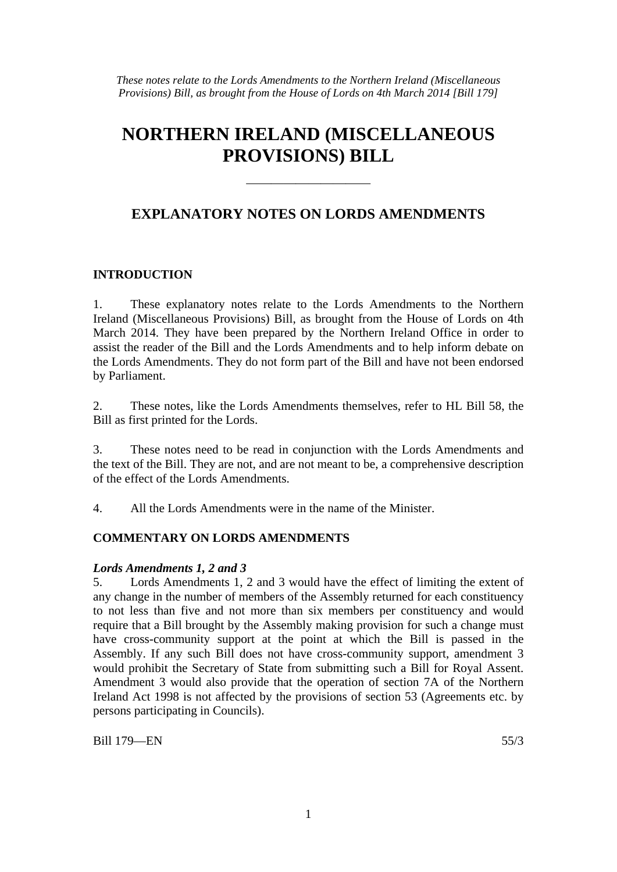*These notes relate to the Lords Amendments to the Northern Ireland (Miscellaneous Provisions) Bill, as brought from the House of Lords on 4th March 2014 [Bill 179]*

## **NORTHERN IRELAND (MISCELLANEOUS PROVISIONS) BILL**

### **EXPLANATORY NOTES ON LORDS AMENDMENTS**

——————————

#### **INTRODUCTION**

1. These explanatory notes relate to the Lords Amendments to the Northern Ireland (Miscellaneous Provisions) Bill, as brought from the House of Lords on 4th March 2014. They have been prepared by the Northern Ireland Office in order to assist the reader of the Bill and the Lords Amendments and to help inform debate on the Lords Amendments. They do not form part of the Bill and have not been endorsed by Parliament.

2. These notes, like the Lords Amendments themselves, refer to HL Bill 58, the Bill as first printed for the Lords.

3. These notes need to be read in conjunction with the Lords Amendments and the text of the Bill. They are not, and are not meant to be, a comprehensive description of the effect of the Lords Amendments.

4. All the Lords Amendments were in the name of the Minister.

#### **COMMENTARY ON LORDS AMENDMENTS**

#### *Lords Amendments 1, 2 and 3*

5. Lords Amendments 1, 2 and 3 would have the effect of limiting the extent of any change in the number of members of the Assembly returned for each constituency to not less than five and not more than six members per constituency and would require that a Bill brought by the Assembly making provision for such a change must have cross-community support at the point at which the Bill is passed in the Assembly. If any such Bill does not have cross-community support, amendment 3 would prohibit the Secretary of State from submitting such a Bill for Royal Assent. Amendment 3 would also provide that the operation of section 7A of the Northern Ireland Act 1998 is not affected by the provisions of section 53 (Agreements etc. by persons participating in Councils).

Bill 179—EN 55/3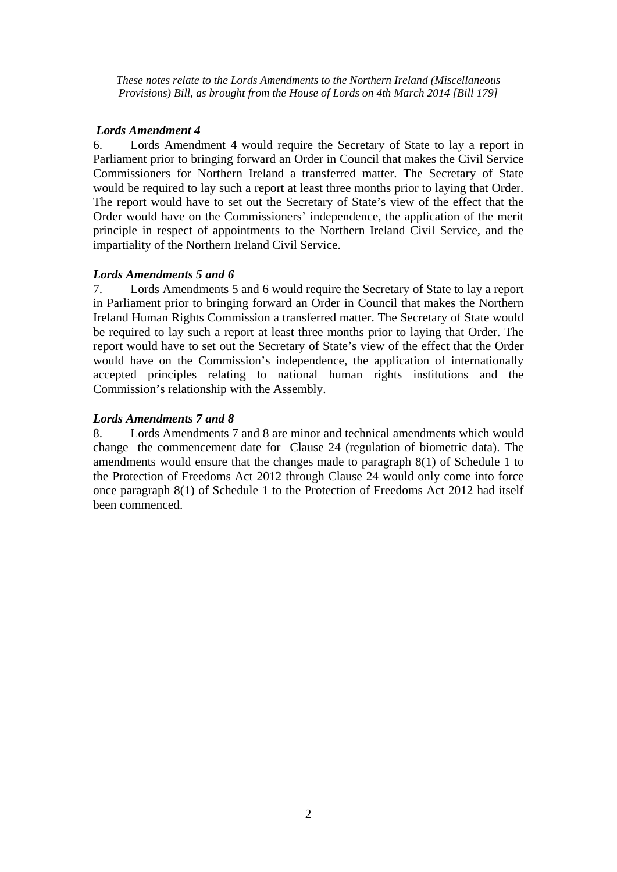*These notes relate to the Lords Amendments to the Northern Ireland (Miscellaneous Provisions) Bill, as brought from the House of Lords on 4th March 2014 [Bill 179]*

#### *Lords Amendment 4*

6. Lords Amendment 4 would require the Secretary of State to lay a report in Parliament prior to bringing forward an Order in Council that makes the Civil Service Commissioners for Northern Ireland a transferred matter. The Secretary of State would be required to lay such a report at least three months prior to laying that Order. The report would have to set out the Secretary of State's view of the effect that the Order would have on the Commissioners' independence, the application of the merit principle in respect of appointments to the Northern Ireland Civil Service, and the impartiality of the Northern Ireland Civil Service.

# *Lords Amendments 5 and 6*

Lords Amendments 5 and 6 would require the Secretary of State to lay a report in Parliament prior to bringing forward an Order in Council that makes the Northern Ireland Human Rights Commission a transferred matter. The Secretary of State would be required to lay such a report at least three months prior to laying that Order. The report would have to set out the Secretary of State's view of the effect that the Order would have on the Commission's independence, the application of internationally accepted principles relating to national human rights institutions and the Commission's relationship with the Assembly.

#### *Lords Amendments 7 and 8*

8. Lords Amendments 7 and 8 are minor and technical amendments which would change the commencement date for Clause 24 (regulation of biometric data). The amendments would ensure that the changes made to paragraph 8(1) of Schedule 1 to the Protection of Freedoms Act 2012 through Clause 24 would only come into force once paragraph 8(1) of Schedule 1 to the Protection of Freedoms Act 2012 had itself been commenced.